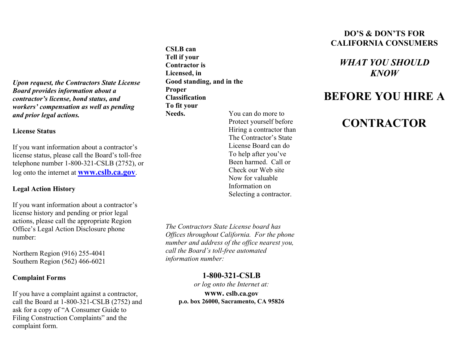*Upon request, the Contractors State License Board provides information about a contractor's license, bond status, and workers' compensation as well as pending and prior legal actions.* 

#### **License Status**

If you want information about a contractor's license status, please call the Board's toll-free telephone number 1-800-321-CSLB (2752), or log onto the internet at **[www.cslb.ca.gov](http://www.cslb.ca.gov/)**.

#### **Legal Action History**

If you want information about a contractor's license history and pending or prior legal actions, please call the appropriate Region Office's Legal Action Disclosure phone number:

Northern Region (916) 255-4041 Southern Region (562) 466-6021

#### **Complaint Forms**

If you have a complaint against a contractor, call the Board at 1-800-321-CSLB (2752) and ask for a copy of "A Consumer Guide to Filing Construction Complaints" and the complaint form.

**CSLB can Tell if your Contractor is Licensed, in Good standing, and in the Proper Classification To fit your Needs.** You can do more to

 Protect yourself before Hiring a contractor than The Contractor's State License Board can do To help after you've Been harmed. Call or Check our Web site Now for valuable Information on Selecting a contractor.

*The Contractors State License board has Offices throughout California. For the phone number and address of the office nearest you, call the Board's toll-free automated information number:* 

#### **1-800-321-CSLB**

*or log onto the Internet at:* 

**www. cslb.ca.gov p.o. box 26000, Sacramento, CA 95826** 

## **DO'S & DON'TS FOR CALIFORNIA CONSUMERS**

# *WHAT YOU SHOULD KNOW*

# **BEFORE YOU HIRE A**

# **CONTRACTOR**